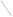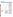# **Hopi Tribe**



For a copy of the Hopi Tribe's 1994 305(b) report, contact:

#### **Phillip Tuwaletstiwa**

The Hopi Tribe Water Resources Program Box 123 Kykotsmobi, AZ 86039 (520) 734-9307

## **Surface Water Quality**

The 2,439-square-mile Hopi Reservation, located in northeastern Arizona, is bounded on all sides by the Navajo Reservation. Surface water on the Hopi Reservation consists primarily of intermittent or ephemeral streams. Only limited data regarding stream quality are available. The limited data indicate that some stream reaches may be deficient in oxygen, although this conclusion has not been verified by repeat monitoring.

In addition to the intermittent and ephemeral washes and streams, surface water on the Hopi Reservation occurs as springs where ground water discharges as seeps along washes or through fractures and joints within sandstone formations. The Hopi Tribe assessed 18 springs in 1992 and 1993. The assessment revealed that several springs had one or more exceedances of nitrate, selenium, total coliform, or fecal coliform. The primary potential sources of surface water contamination on the Hopi Reservation include mining activities outside of the Reservation, livestock grazing, domestic refuse, and wastewater lagoons.

### **Ground Water Quality**

In general, ground water quality on the Hopi Reservation is good. Ground water from the N-aquifer provides drinking water of excellent quality to most of the Hopi villages. The D-aquifer, sandstones of the Mesaverde Group, and alluvium also provide ground water to shallow stock and domestic wells, but the quality of the water from these sources is generally of poorer quality than the water supplied by the N-aquifer.

Mining activities outside of the Reservation are the most significant threat to the N-aquifer. Extensive pumping at the Peabody Coal Company Black Mesa mine may induce leakage of poorer quality D-aquifer water into the N-aquifer. This potential problem is being